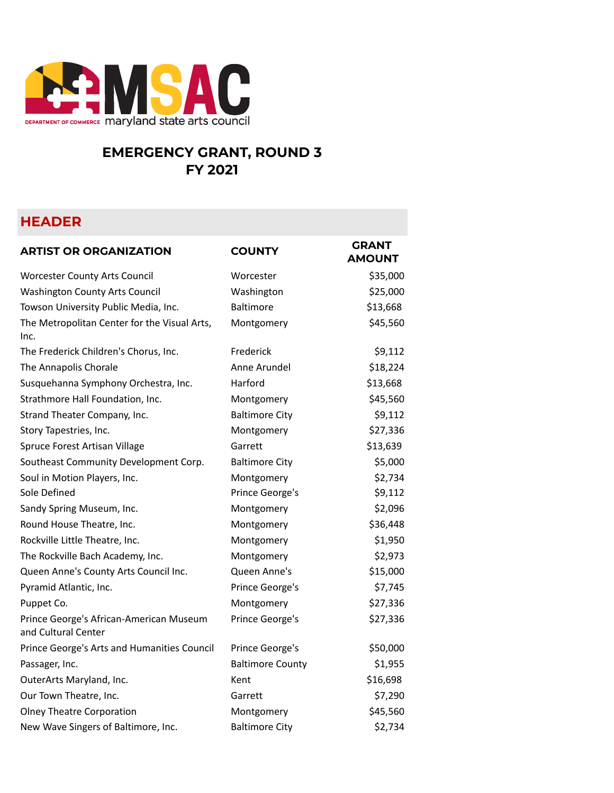

## **EMERGENCY GRANT, ROUND 3 FY 2021**

## **HEADER**

| <b>ARTIST OR ORGANIZATION</b>                                  | <b>COUNTY</b>           | <b>GRANT</b><br><b>AMOUNT</b> |
|----------------------------------------------------------------|-------------------------|-------------------------------|
| <b>Worcester County Arts Council</b>                           | Worcester               | \$35,000                      |
| Washington County Arts Council                                 | Washington              | \$25,000                      |
| Towson University Public Media, Inc.                           | <b>Baltimore</b>        | \$13,668                      |
| The Metropolitan Center for the Visual Arts,<br>Inc.           | Montgomery              | \$45,560                      |
| The Frederick Children's Chorus, Inc.                          | Frederick               | \$9,112                       |
| The Annapolis Chorale                                          | Anne Arundel            | \$18,224                      |
| Susquehanna Symphony Orchestra, Inc.                           | Harford                 | \$13,668                      |
| Strathmore Hall Foundation, Inc.                               | Montgomery              | \$45,560                      |
| Strand Theater Company, Inc.                                   | <b>Baltimore City</b>   | \$9,112                       |
| Story Tapestries, Inc.                                         | Montgomery              | \$27,336                      |
| Spruce Forest Artisan Village                                  | Garrett                 | \$13,639                      |
| Southeast Community Development Corp.                          | <b>Baltimore City</b>   | \$5,000                       |
| Soul in Motion Players, Inc.                                   | Montgomery              | \$2,734                       |
| Sole Defined                                                   | Prince George's         | \$9,112                       |
| Sandy Spring Museum, Inc.                                      | Montgomery              | \$2,096                       |
| Round House Theatre, Inc.                                      | Montgomery              | \$36,448                      |
| Rockville Little Theatre, Inc.                                 | Montgomery              | \$1,950                       |
| The Rockville Bach Academy, Inc.                               | Montgomery              | \$2,973                       |
| Queen Anne's County Arts Council Inc.                          | Queen Anne's            | \$15,000                      |
| Pyramid Atlantic, Inc.                                         | Prince George's         | \$7,745                       |
| Puppet Co.                                                     | Montgomery              | \$27,336                      |
| Prince George's African-American Museum<br>and Cultural Center | Prince George's         | \$27,336                      |
| Prince George's Arts and Humanities Council                    | Prince George's         | \$50,000                      |
| Passager, Inc.                                                 | <b>Baltimore County</b> | \$1,955                       |
| OuterArts Maryland, Inc.                                       | Kent                    | \$16,698                      |
| Our Town Theatre, Inc.                                         | Garrett                 | \$7,290                       |
| <b>Olney Theatre Corporation</b>                               | Montgomery              | \$45,560                      |
| New Wave Singers of Baltimore, Inc.                            | <b>Baltimore City</b>   | \$2,734                       |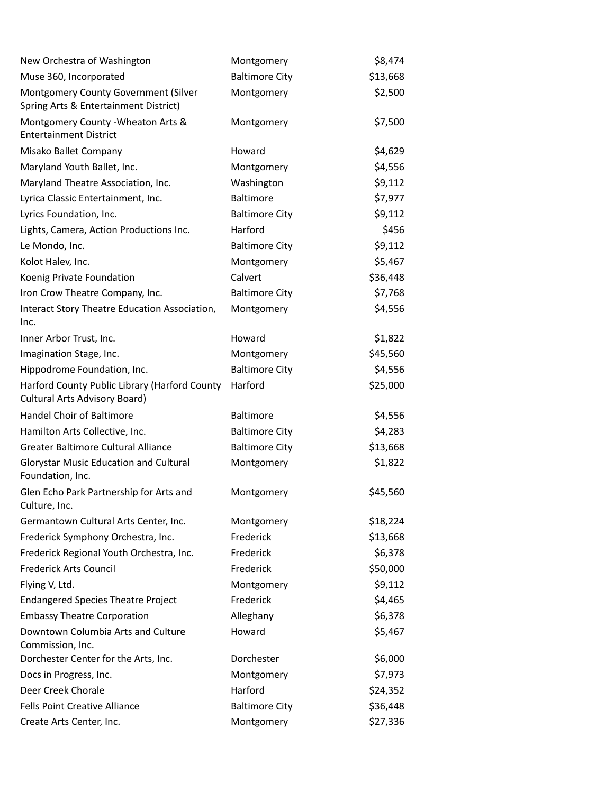| New Orchestra of Washington                                                           | Montgomery            | \$8,474  |
|---------------------------------------------------------------------------------------|-----------------------|----------|
| Muse 360, Incorporated                                                                | <b>Baltimore City</b> | \$13,668 |
| Montgomery County Government (Silver<br>Spring Arts & Entertainment District)         | Montgomery            | \$2,500  |
| Montgomery County - Wheaton Arts &<br><b>Entertainment District</b>                   | Montgomery            | \$7,500  |
| Misako Ballet Company                                                                 | Howard                | \$4,629  |
| Maryland Youth Ballet, Inc.                                                           | Montgomery            | \$4,556  |
| Maryland Theatre Association, Inc.                                                    | Washington            | \$9,112  |
| Lyrica Classic Entertainment, Inc.                                                    | Baltimore             | \$7,977  |
| Lyrics Foundation, Inc.                                                               | <b>Baltimore City</b> | \$9,112  |
| Lights, Camera, Action Productions Inc.                                               | Harford               | \$456    |
| Le Mondo, Inc.                                                                        | <b>Baltimore City</b> | \$9,112  |
| Kolot Halev, Inc.                                                                     | Montgomery            | \$5,467  |
| Koenig Private Foundation                                                             | Calvert               | \$36,448 |
| Iron Crow Theatre Company, Inc.                                                       | <b>Baltimore City</b> | \$7,768  |
| Interact Story Theatre Education Association,<br>Inc.                                 | Montgomery            | \$4,556  |
| Inner Arbor Trust, Inc.                                                               | Howard                | \$1,822  |
| Imagination Stage, Inc.                                                               | Montgomery            | \$45,560 |
| Hippodrome Foundation, Inc.                                                           | <b>Baltimore City</b> | \$4,556  |
| Harford County Public Library (Harford County<br><b>Cultural Arts Advisory Board)</b> | Harford               | \$25,000 |
| Handel Choir of Baltimore                                                             | <b>Baltimore</b>      | \$4,556  |
| Hamilton Arts Collective, Inc.                                                        | <b>Baltimore City</b> | \$4,283  |
| Greater Baltimore Cultural Alliance                                                   | <b>Baltimore City</b> | \$13,668 |
| <b>Glorystar Music Education and Cultural</b><br>Foundation, Inc.                     | Montgomery            | \$1,822  |
| Glen Echo Park Partnership for Arts and<br>Culture, Inc.                              | Montgomery            | \$45,560 |
| Germantown Cultural Arts Center, Inc.                                                 | Montgomery            | \$18,224 |
| Frederick Symphony Orchestra, Inc.                                                    | Frederick             | \$13,668 |
| Frederick Regional Youth Orchestra, Inc.                                              | Frederick             | \$6,378  |
| <b>Frederick Arts Council</b>                                                         | Frederick             | \$50,000 |
| Flying V, Ltd.                                                                        | Montgomery            | \$9,112  |
| <b>Endangered Species Theatre Project</b>                                             | Frederick             | \$4,465  |
| <b>Embassy Theatre Corporation</b>                                                    | Alleghany             | \$6,378  |
| Downtown Columbia Arts and Culture<br>Commission, Inc.                                | Howard                | \$5,467  |
| Dorchester Center for the Arts, Inc.                                                  | Dorchester            | \$6,000  |
| Docs in Progress, Inc.                                                                | Montgomery            | \$7,973  |
| Deer Creek Chorale                                                                    | Harford               | \$24,352 |
| <b>Fells Point Creative Alliance</b>                                                  | <b>Baltimore City</b> | \$36,448 |
| Create Arts Center, Inc.                                                              | Montgomery            | \$27,336 |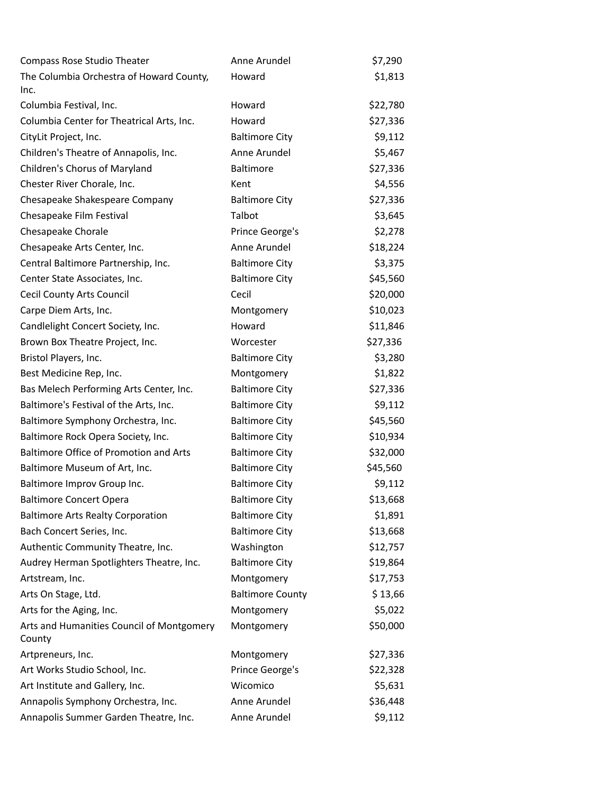| <b>Compass Rose Studio Theater</b>                  | Anne Arundel            | \$7,290  |
|-----------------------------------------------------|-------------------------|----------|
| The Columbia Orchestra of Howard County,            | Howard                  | \$1,813  |
| Inc.                                                |                         |          |
| Columbia Festival, Inc.                             | Howard                  | \$22,780 |
| Columbia Center for Theatrical Arts, Inc.           | Howard                  | \$27,336 |
| CityLit Project, Inc.                               | <b>Baltimore City</b>   | \$9,112  |
| Children's Theatre of Annapolis, Inc.               | Anne Arundel            | \$5,467  |
| Children's Chorus of Maryland                       | <b>Baltimore</b>        | \$27,336 |
| Chester River Chorale, Inc.                         | Kent                    | \$4,556  |
| Chesapeake Shakespeare Company                      | <b>Baltimore City</b>   | \$27,336 |
| Chesapeake Film Festival                            | Talbot                  | \$3,645  |
| Chesapeake Chorale                                  | Prince George's         | \$2,278  |
| Chesapeake Arts Center, Inc.                        | Anne Arundel            | \$18,224 |
| Central Baltimore Partnership, Inc.                 | <b>Baltimore City</b>   | \$3,375  |
| Center State Associates, Inc.                       | <b>Baltimore City</b>   | \$45,560 |
| <b>Cecil County Arts Council</b>                    | Cecil                   | \$20,000 |
| Carpe Diem Arts, Inc.                               | Montgomery              | \$10,023 |
| Candlelight Concert Society, Inc.                   | Howard                  | \$11,846 |
| Brown Box Theatre Project, Inc.                     | Worcester               | \$27,336 |
| Bristol Players, Inc.                               | <b>Baltimore City</b>   | \$3,280  |
| Best Medicine Rep, Inc.                             | Montgomery              | \$1,822  |
| Bas Melech Performing Arts Center, Inc.             | <b>Baltimore City</b>   | \$27,336 |
| Baltimore's Festival of the Arts, Inc.              | <b>Baltimore City</b>   | \$9,112  |
| Baltimore Symphony Orchestra, Inc.                  | <b>Baltimore City</b>   | \$45,560 |
| Baltimore Rock Opera Society, Inc.                  | <b>Baltimore City</b>   | \$10,934 |
| Baltimore Office of Promotion and Arts              | <b>Baltimore City</b>   | \$32,000 |
| Baltimore Museum of Art, Inc.                       | <b>Baltimore City</b>   | \$45,560 |
| Baltimore Improv Group Inc.                         | <b>Baltimore City</b>   | \$9,112  |
| <b>Baltimore Concert Opera</b>                      | <b>Baltimore City</b>   | \$13,668 |
| <b>Baltimore Arts Realty Corporation</b>            | <b>Baltimore City</b>   | \$1,891  |
| Bach Concert Series, Inc.                           | <b>Baltimore City</b>   | \$13,668 |
| Authentic Community Theatre, Inc.                   | Washington              | \$12,757 |
| Audrey Herman Spotlighters Theatre, Inc.            | <b>Baltimore City</b>   | \$19,864 |
| Artstream, Inc.                                     | Montgomery              | \$17,753 |
| Arts On Stage, Ltd.                                 | <b>Baltimore County</b> | \$13,66  |
| Arts for the Aging, Inc.                            | Montgomery              | \$5,022  |
| Arts and Humanities Council of Montgomery<br>County | Montgomery              | \$50,000 |
| Artpreneurs, Inc.                                   | Montgomery              | \$27,336 |
| Art Works Studio School, Inc.                       | Prince George's         | \$22,328 |
| Art Institute and Gallery, Inc.                     | Wicomico                | \$5,631  |
| Annapolis Symphony Orchestra, Inc.                  | Anne Arundel            | \$36,448 |
| Annapolis Summer Garden Theatre, Inc.               | Anne Arundel            | \$9,112  |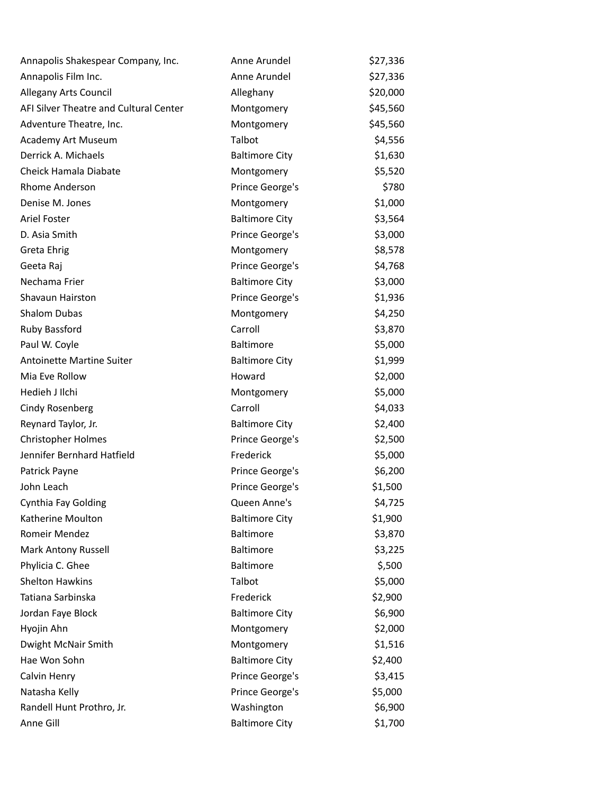| Annapolis Shakespear Company, Inc.     | Anne Arundel          | \$27,336 |
|----------------------------------------|-----------------------|----------|
| Annapolis Film Inc.                    | Anne Arundel          | \$27,336 |
| <b>Allegany Arts Council</b>           | Alleghany             | \$20,000 |
| AFI Silver Theatre and Cultural Center | Montgomery            | \$45,560 |
| Adventure Theatre, Inc.                | Montgomery            | \$45,560 |
| Academy Art Museum                     | Talbot                | \$4,556  |
| Derrick A. Michaels                    | <b>Baltimore City</b> | \$1,630  |
| Cheick Hamala Diabate                  | Montgomery            | \$5,520  |
| Rhome Anderson                         | Prince George's       | \$780    |
| Denise M. Jones                        | Montgomery            | \$1,000  |
| Ariel Foster                           | <b>Baltimore City</b> | \$3,564  |
| D. Asia Smith                          | Prince George's       | \$3,000  |
| Greta Ehrig                            | Montgomery            | \$8,578  |
| Geeta Raj                              | Prince George's       | \$4,768  |
| Nechama Frier                          | <b>Baltimore City</b> | \$3,000  |
| Shavaun Hairston                       | Prince George's       | \$1,936  |
| <b>Shalom Dubas</b>                    | Montgomery            | \$4,250  |
| Ruby Bassford                          | Carroll               | \$3,870  |
| Paul W. Coyle                          | Baltimore             | \$5,000  |
| Antoinette Martine Suiter              | <b>Baltimore City</b> | \$1,999  |
| Mia Eve Rollow                         | Howard                | \$2,000  |
| Hedieh J Ilchi                         | Montgomery            | \$5,000  |
| Cindy Rosenberg                        | Carroll               | \$4,033  |
| Reynard Taylor, Jr.                    | <b>Baltimore City</b> | \$2,400  |
| <b>Christopher Holmes</b>              | Prince George's       | \$2,500  |
| Jennifer Bernhard Hatfield             | Frederick             | \$5,000  |
| Patrick Payne                          | Prince George's       | \$6,200  |
| John Leach                             | Prince George's       | \$1,500  |
| Cynthia Fay Golding                    | Queen Anne's          | \$4,725  |
| Katherine Moulton                      | <b>Baltimore City</b> | \$1,900  |
| Romeir Mendez                          | Baltimore             | \$3,870  |
| <b>Mark Antony Russell</b>             | Baltimore             | \$3,225  |
| Phylicia C. Ghee                       | Baltimore             | \$,500   |
| <b>Shelton Hawkins</b>                 | Talbot                | \$5,000  |
| Tatiana Sarbinska                      | Frederick             | \$2,900  |
| Jordan Faye Block                      | <b>Baltimore City</b> | \$6,900  |
| Hyojin Ahn                             | Montgomery            | \$2,000  |
| Dwight McNair Smith                    | Montgomery            | \$1,516  |
| Hae Won Sohn                           | <b>Baltimore City</b> | \$2,400  |
| Calvin Henry                           | Prince George's       | \$3,415  |
| Natasha Kelly                          | Prince George's       | \$5,000  |
| Randell Hunt Prothro, Jr.              | Washington            | \$6,900  |
| Anne Gill                              | <b>Baltimore City</b> | \$1,700  |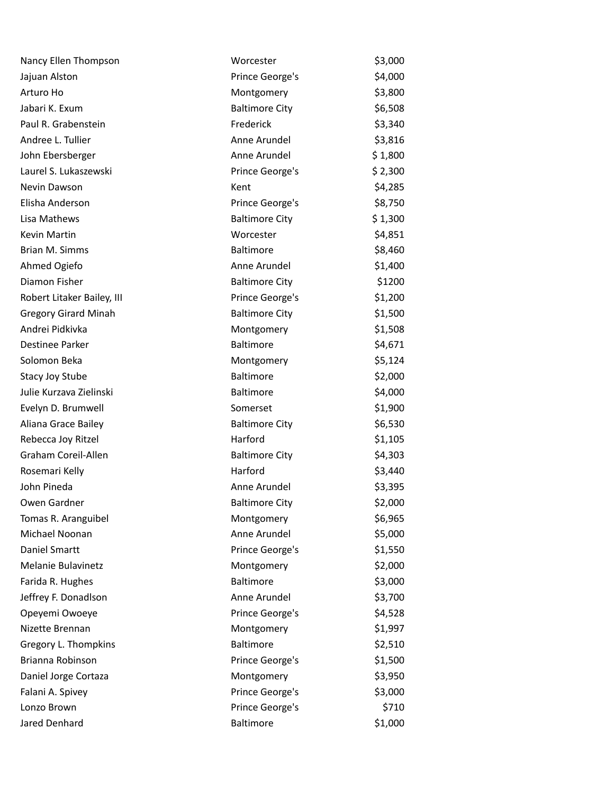| Worcester             | \$3,000 |
|-----------------------|---------|
| Prince George's       | \$4,000 |
| Montgomery            | \$3,800 |
| <b>Baltimore City</b> | \$6,508 |
| Frederick             | \$3,340 |
| Anne Arundel          | \$3,816 |
| Anne Arundel          | \$1,800 |
| Prince George's       | \$2,300 |
| Kent                  | \$4,285 |
| Prince George's       | \$8,750 |
| <b>Baltimore City</b> | \$1,300 |
| Worcester             | \$4,851 |
| <b>Baltimore</b>      | \$8,460 |
| Anne Arundel          | \$1,400 |
| <b>Baltimore City</b> | \$1200  |
| Prince George's       | \$1,200 |
| <b>Baltimore City</b> | \$1,500 |
| Montgomery            | \$1,508 |
| <b>Baltimore</b>      | \$4,671 |
| Montgomery            | \$5,124 |
| <b>Baltimore</b>      | \$2,000 |
| Baltimore             | \$4,000 |
| Somerset              | \$1,900 |
| <b>Baltimore City</b> | \$6,530 |
| Harford               | \$1,105 |
| <b>Baltimore City</b> | \$4,303 |
| Harford               | \$3,440 |
| Anne Arundel          | \$3,395 |
| <b>Baltimore City</b> | \$2,000 |
| Montgomery            | \$6,965 |
| Anne Arundel          | \$5,000 |
| Prince George's       | \$1,550 |
| Montgomery            | \$2,000 |
| <b>Baltimore</b>      | \$3,000 |
| Anne Arundel          | \$3,700 |
| Prince George's       | \$4,528 |
| Montgomery            | \$1,997 |
| <b>Baltimore</b>      | \$2,510 |
| Prince George's       | \$1,500 |
| Montgomery            | \$3,950 |
| Prince George's       | \$3,000 |
| Prince George's       | \$710   |
| <b>Baltimore</b>      | \$1,000 |
|                       |         |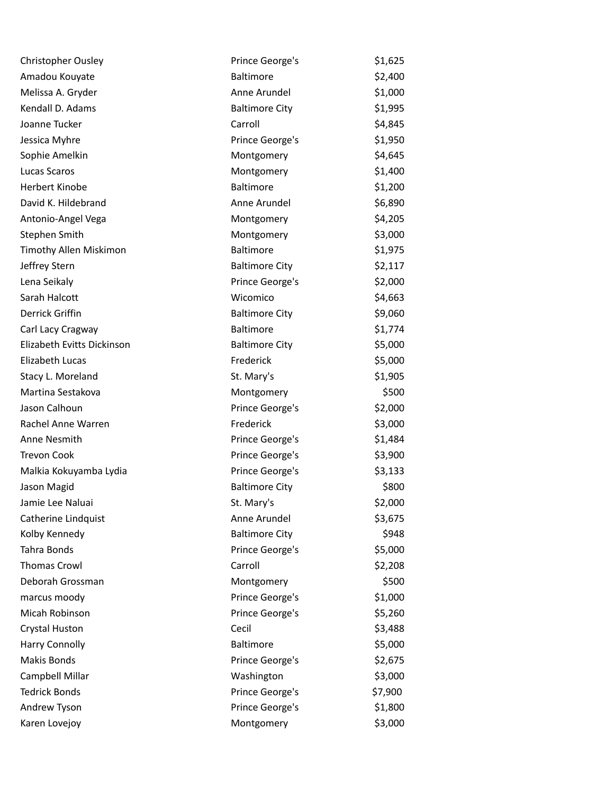| <b>Christopher Ousley</b>  | Prince George's       | \$1,625 |
|----------------------------|-----------------------|---------|
| Amadou Kouyate             | <b>Baltimore</b>      | \$2,400 |
| Melissa A. Gryder          | Anne Arundel          | \$1,000 |
| Kendall D. Adams           | <b>Baltimore City</b> | \$1,995 |
| Joanne Tucker              | Carroll               | \$4,845 |
| Jessica Myhre              | Prince George's       | \$1,950 |
| Sophie Amelkin             | Montgomery            | \$4,645 |
| Lucas Scaros               | Montgomery            | \$1,400 |
| <b>Herbert Kinobe</b>      | Baltimore             | \$1,200 |
| David K. Hildebrand        | Anne Arundel          | \$6,890 |
| Antonio-Angel Vega         | Montgomery            | \$4,205 |
| Stephen Smith              | Montgomery            | \$3,000 |
| Timothy Allen Miskimon     | Baltimore             | \$1,975 |
| Jeffrey Stern              | <b>Baltimore City</b> | \$2,117 |
| Lena Seikaly               | Prince George's       | \$2,000 |
| Sarah Halcott              | Wicomico              | \$4,663 |
| Derrick Griffin            | <b>Baltimore City</b> | \$9,060 |
| Carl Lacy Cragway          | <b>Baltimore</b>      | \$1,774 |
| Elizabeth Evitts Dickinson | <b>Baltimore City</b> | \$5,000 |
| Elizabeth Lucas            | Frederick             | \$5,000 |
| Stacy L. Moreland          | St. Mary's            | \$1,905 |
| Martina Sestakova          | Montgomery            | \$500   |
| Jason Calhoun              | Prince George's       | \$2,000 |
| Rachel Anne Warren         | Frederick             | \$3,000 |
| Anne Nesmith               | Prince George's       | \$1,484 |
| <b>Trevon Cook</b>         | Prince George's       | \$3,900 |
| Malkia Kokuyamba Lydia     | Prince George's       | \$3,133 |
| Jason Magid                | <b>Baltimore City</b> | \$800   |
| Jamie Lee Naluai           | St. Mary's            | \$2,000 |
| Catherine Lindquist        | Anne Arundel          | \$3,675 |
| Kolby Kennedy              | <b>Baltimore City</b> | \$948   |
| Tahra Bonds                | Prince George's       | \$5,000 |
| <b>Thomas Crowl</b>        | Carroll               | \$2,208 |
| Deborah Grossman           | Montgomery            | \$500   |
| marcus moody               | Prince George's       | \$1,000 |
| Micah Robinson             | Prince George's       | \$5,260 |
| Crystal Huston             | Cecil                 | \$3,488 |
| <b>Harry Connolly</b>      | Baltimore             | \$5,000 |
| Makis Bonds                | Prince George's       | \$2,675 |
| Campbell Millar            | Washington            | \$3,000 |
| <b>Tedrick Bonds</b>       | Prince George's       | \$7,900 |
| Andrew Tyson               | Prince George's       | \$1,800 |
| Karen Lovejoy              | Montgomery            | \$3,000 |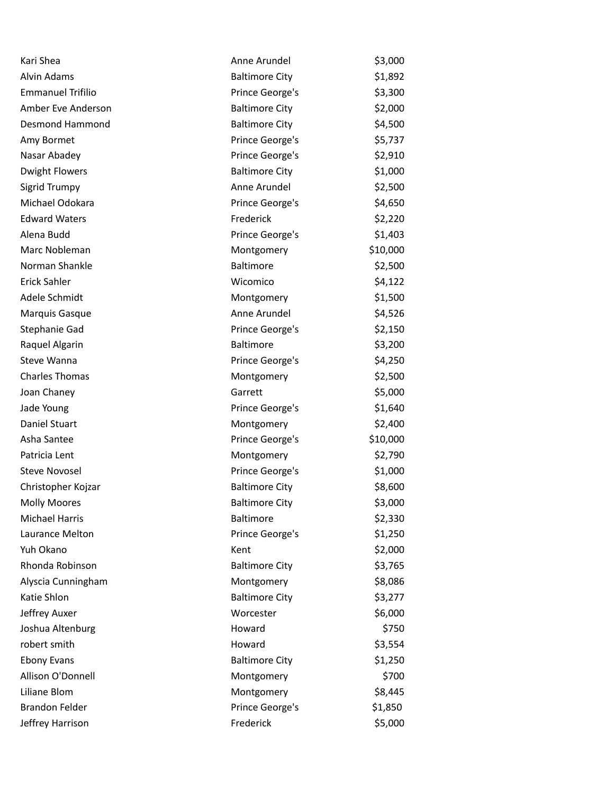| \$1,892<br>Alvin Adams<br><b>Baltimore City</b><br>\$3,300<br><b>Emmanuel Trifilio</b><br>Prince George's<br>Amber Eve Anderson<br><b>Baltimore City</b><br>\$2,000<br><b>Desmond Hammond</b><br><b>Baltimore City</b><br>\$4,500<br>Prince George's<br>\$5,737<br>Amy Bormet<br>Nasar Abadey<br>Prince George's<br>\$2,910<br>\$1,000<br><b>Dwight Flowers</b><br><b>Baltimore City</b><br>Anne Arundel<br>\$2,500<br>Sigrid Trumpy<br>Michael Odokara<br>Prince George's<br>\$4,650<br>\$2,220<br><b>Edward Waters</b><br>Frederick<br>Alena Budd<br>Prince George's<br>\$1,403<br>Marc Nobleman<br>\$10,000<br>Montgomery<br>Norman Shankle<br>Baltimore<br>\$2,500<br><b>Erick Sahler</b><br>Wicomico<br>\$4,122<br>Adele Schmidt<br>\$1,500<br>Montgomery<br>Anne Arundel<br>\$4,526<br>Marquis Gasque<br>Stephanie Gad<br>Prince George's<br>\$2,150<br>\$3,200<br><b>Baltimore</b><br>Raquel Algarin<br>Steve Wanna<br>\$4,250<br>Prince George's<br><b>Charles Thomas</b><br>\$2,500<br>Montgomery<br>\$5,000<br>Joan Chaney<br>Garrett<br>\$1,640<br>Jade Young<br>Prince George's<br>Daniel Stuart<br>\$2,400<br>Montgomery<br>Asha Santee<br>Prince George's<br>\$10,000<br>Patricia Lent<br>\$2,790<br>Montgomery<br><b>Steve Novosel</b><br>Prince George's<br>\$1,000<br>\$8,600<br>Christopher Kojzar<br><b>Baltimore City</b><br>\$3,000<br><b>Baltimore City</b><br>Molly Moores<br><b>Michael Harris</b><br>Baltimore<br>\$2,330<br>\$1,250<br>Laurance Melton<br>Prince George's<br>Yuh Okano<br>\$2,000<br>Kent<br>Rhonda Robinson<br>\$3,765<br><b>Baltimore City</b><br>Alyscia Cunningham<br>Montgomery<br>\$8,086<br>Katie Shlon<br>\$3,277<br><b>Baltimore City</b><br>Jeffrey Auxer<br>Worcester<br>\$6,000<br>Joshua Altenburg<br>Howard<br>\$750<br>robert smith<br>\$3,554<br>Howard<br><b>Ebony Evans</b><br><b>Baltimore City</b><br>\$1,250<br>Allison O'Donnell<br>\$700<br>Montgomery<br>Liliane Blom<br>\$8,445<br>Montgomery<br><b>Brandon Felder</b><br>Prince George's<br>\$1,850<br>Frederick<br>\$5,000<br>Jeffrey Harrison | Kari Shea | Anne Arundel | \$3,000 |
|---------------------------------------------------------------------------------------------------------------------------------------------------------------------------------------------------------------------------------------------------------------------------------------------------------------------------------------------------------------------------------------------------------------------------------------------------------------------------------------------------------------------------------------------------------------------------------------------------------------------------------------------------------------------------------------------------------------------------------------------------------------------------------------------------------------------------------------------------------------------------------------------------------------------------------------------------------------------------------------------------------------------------------------------------------------------------------------------------------------------------------------------------------------------------------------------------------------------------------------------------------------------------------------------------------------------------------------------------------------------------------------------------------------------------------------------------------------------------------------------------------------------------------------------------------------------------------------------------------------------------------------------------------------------------------------------------------------------------------------------------------------------------------------------------------------------------------------------------------------------------------------------------------------------------------------------------------------------------------------------------------------------------------------------------------------------|-----------|--------------|---------|
|                                                                                                                                                                                                                                                                                                                                                                                                                                                                                                                                                                                                                                                                                                                                                                                                                                                                                                                                                                                                                                                                                                                                                                                                                                                                                                                                                                                                                                                                                                                                                                                                                                                                                                                                                                                                                                                                                                                                                                                                                                                                     |           |              |         |
|                                                                                                                                                                                                                                                                                                                                                                                                                                                                                                                                                                                                                                                                                                                                                                                                                                                                                                                                                                                                                                                                                                                                                                                                                                                                                                                                                                                                                                                                                                                                                                                                                                                                                                                                                                                                                                                                                                                                                                                                                                                                     |           |              |         |
|                                                                                                                                                                                                                                                                                                                                                                                                                                                                                                                                                                                                                                                                                                                                                                                                                                                                                                                                                                                                                                                                                                                                                                                                                                                                                                                                                                                                                                                                                                                                                                                                                                                                                                                                                                                                                                                                                                                                                                                                                                                                     |           |              |         |
|                                                                                                                                                                                                                                                                                                                                                                                                                                                                                                                                                                                                                                                                                                                                                                                                                                                                                                                                                                                                                                                                                                                                                                                                                                                                                                                                                                                                                                                                                                                                                                                                                                                                                                                                                                                                                                                                                                                                                                                                                                                                     |           |              |         |
|                                                                                                                                                                                                                                                                                                                                                                                                                                                                                                                                                                                                                                                                                                                                                                                                                                                                                                                                                                                                                                                                                                                                                                                                                                                                                                                                                                                                                                                                                                                                                                                                                                                                                                                                                                                                                                                                                                                                                                                                                                                                     |           |              |         |
|                                                                                                                                                                                                                                                                                                                                                                                                                                                                                                                                                                                                                                                                                                                                                                                                                                                                                                                                                                                                                                                                                                                                                                                                                                                                                                                                                                                                                                                                                                                                                                                                                                                                                                                                                                                                                                                                                                                                                                                                                                                                     |           |              |         |
|                                                                                                                                                                                                                                                                                                                                                                                                                                                                                                                                                                                                                                                                                                                                                                                                                                                                                                                                                                                                                                                                                                                                                                                                                                                                                                                                                                                                                                                                                                                                                                                                                                                                                                                                                                                                                                                                                                                                                                                                                                                                     |           |              |         |
|                                                                                                                                                                                                                                                                                                                                                                                                                                                                                                                                                                                                                                                                                                                                                                                                                                                                                                                                                                                                                                                                                                                                                                                                                                                                                                                                                                                                                                                                                                                                                                                                                                                                                                                                                                                                                                                                                                                                                                                                                                                                     |           |              |         |
|                                                                                                                                                                                                                                                                                                                                                                                                                                                                                                                                                                                                                                                                                                                                                                                                                                                                                                                                                                                                                                                                                                                                                                                                                                                                                                                                                                                                                                                                                                                                                                                                                                                                                                                                                                                                                                                                                                                                                                                                                                                                     |           |              |         |
|                                                                                                                                                                                                                                                                                                                                                                                                                                                                                                                                                                                                                                                                                                                                                                                                                                                                                                                                                                                                                                                                                                                                                                                                                                                                                                                                                                                                                                                                                                                                                                                                                                                                                                                                                                                                                                                                                                                                                                                                                                                                     |           |              |         |
|                                                                                                                                                                                                                                                                                                                                                                                                                                                                                                                                                                                                                                                                                                                                                                                                                                                                                                                                                                                                                                                                                                                                                                                                                                                                                                                                                                                                                                                                                                                                                                                                                                                                                                                                                                                                                                                                                                                                                                                                                                                                     |           |              |         |
|                                                                                                                                                                                                                                                                                                                                                                                                                                                                                                                                                                                                                                                                                                                                                                                                                                                                                                                                                                                                                                                                                                                                                                                                                                                                                                                                                                                                                                                                                                                                                                                                                                                                                                                                                                                                                                                                                                                                                                                                                                                                     |           |              |         |
|                                                                                                                                                                                                                                                                                                                                                                                                                                                                                                                                                                                                                                                                                                                                                                                                                                                                                                                                                                                                                                                                                                                                                                                                                                                                                                                                                                                                                                                                                                                                                                                                                                                                                                                                                                                                                                                                                                                                                                                                                                                                     |           |              |         |
|                                                                                                                                                                                                                                                                                                                                                                                                                                                                                                                                                                                                                                                                                                                                                                                                                                                                                                                                                                                                                                                                                                                                                                                                                                                                                                                                                                                                                                                                                                                                                                                                                                                                                                                                                                                                                                                                                                                                                                                                                                                                     |           |              |         |
|                                                                                                                                                                                                                                                                                                                                                                                                                                                                                                                                                                                                                                                                                                                                                                                                                                                                                                                                                                                                                                                                                                                                                                                                                                                                                                                                                                                                                                                                                                                                                                                                                                                                                                                                                                                                                                                                                                                                                                                                                                                                     |           |              |         |
|                                                                                                                                                                                                                                                                                                                                                                                                                                                                                                                                                                                                                                                                                                                                                                                                                                                                                                                                                                                                                                                                                                                                                                                                                                                                                                                                                                                                                                                                                                                                                                                                                                                                                                                                                                                                                                                                                                                                                                                                                                                                     |           |              |         |
|                                                                                                                                                                                                                                                                                                                                                                                                                                                                                                                                                                                                                                                                                                                                                                                                                                                                                                                                                                                                                                                                                                                                                                                                                                                                                                                                                                                                                                                                                                                                                                                                                                                                                                                                                                                                                                                                                                                                                                                                                                                                     |           |              |         |
|                                                                                                                                                                                                                                                                                                                                                                                                                                                                                                                                                                                                                                                                                                                                                                                                                                                                                                                                                                                                                                                                                                                                                                                                                                                                                                                                                                                                                                                                                                                                                                                                                                                                                                                                                                                                                                                                                                                                                                                                                                                                     |           |              |         |
|                                                                                                                                                                                                                                                                                                                                                                                                                                                                                                                                                                                                                                                                                                                                                                                                                                                                                                                                                                                                                                                                                                                                                                                                                                                                                                                                                                                                                                                                                                                                                                                                                                                                                                                                                                                                                                                                                                                                                                                                                                                                     |           |              |         |
|                                                                                                                                                                                                                                                                                                                                                                                                                                                                                                                                                                                                                                                                                                                                                                                                                                                                                                                                                                                                                                                                                                                                                                                                                                                                                                                                                                                                                                                                                                                                                                                                                                                                                                                                                                                                                                                                                                                                                                                                                                                                     |           |              |         |
|                                                                                                                                                                                                                                                                                                                                                                                                                                                                                                                                                                                                                                                                                                                                                                                                                                                                                                                                                                                                                                                                                                                                                                                                                                                                                                                                                                                                                                                                                                                                                                                                                                                                                                                                                                                                                                                                                                                                                                                                                                                                     |           |              |         |
|                                                                                                                                                                                                                                                                                                                                                                                                                                                                                                                                                                                                                                                                                                                                                                                                                                                                                                                                                                                                                                                                                                                                                                                                                                                                                                                                                                                                                                                                                                                                                                                                                                                                                                                                                                                                                                                                                                                                                                                                                                                                     |           |              |         |
|                                                                                                                                                                                                                                                                                                                                                                                                                                                                                                                                                                                                                                                                                                                                                                                                                                                                                                                                                                                                                                                                                                                                                                                                                                                                                                                                                                                                                                                                                                                                                                                                                                                                                                                                                                                                                                                                                                                                                                                                                                                                     |           |              |         |
|                                                                                                                                                                                                                                                                                                                                                                                                                                                                                                                                                                                                                                                                                                                                                                                                                                                                                                                                                                                                                                                                                                                                                                                                                                                                                                                                                                                                                                                                                                                                                                                                                                                                                                                                                                                                                                                                                                                                                                                                                                                                     |           |              |         |
|                                                                                                                                                                                                                                                                                                                                                                                                                                                                                                                                                                                                                                                                                                                                                                                                                                                                                                                                                                                                                                                                                                                                                                                                                                                                                                                                                                                                                                                                                                                                                                                                                                                                                                                                                                                                                                                                                                                                                                                                                                                                     |           |              |         |
|                                                                                                                                                                                                                                                                                                                                                                                                                                                                                                                                                                                                                                                                                                                                                                                                                                                                                                                                                                                                                                                                                                                                                                                                                                                                                                                                                                                                                                                                                                                                                                                                                                                                                                                                                                                                                                                                                                                                                                                                                                                                     |           |              |         |
|                                                                                                                                                                                                                                                                                                                                                                                                                                                                                                                                                                                                                                                                                                                                                                                                                                                                                                                                                                                                                                                                                                                                                                                                                                                                                                                                                                                                                                                                                                                                                                                                                                                                                                                                                                                                                                                                                                                                                                                                                                                                     |           |              |         |
|                                                                                                                                                                                                                                                                                                                                                                                                                                                                                                                                                                                                                                                                                                                                                                                                                                                                                                                                                                                                                                                                                                                                                                                                                                                                                                                                                                                                                                                                                                                                                                                                                                                                                                                                                                                                                                                                                                                                                                                                                                                                     |           |              |         |
|                                                                                                                                                                                                                                                                                                                                                                                                                                                                                                                                                                                                                                                                                                                                                                                                                                                                                                                                                                                                                                                                                                                                                                                                                                                                                                                                                                                                                                                                                                                                                                                                                                                                                                                                                                                                                                                                                                                                                                                                                                                                     |           |              |         |
|                                                                                                                                                                                                                                                                                                                                                                                                                                                                                                                                                                                                                                                                                                                                                                                                                                                                                                                                                                                                                                                                                                                                                                                                                                                                                                                                                                                                                                                                                                                                                                                                                                                                                                                                                                                                                                                                                                                                                                                                                                                                     |           |              |         |
|                                                                                                                                                                                                                                                                                                                                                                                                                                                                                                                                                                                                                                                                                                                                                                                                                                                                                                                                                                                                                                                                                                                                                                                                                                                                                                                                                                                                                                                                                                                                                                                                                                                                                                                                                                                                                                                                                                                                                                                                                                                                     |           |              |         |
|                                                                                                                                                                                                                                                                                                                                                                                                                                                                                                                                                                                                                                                                                                                                                                                                                                                                                                                                                                                                                                                                                                                                                                                                                                                                                                                                                                                                                                                                                                                                                                                                                                                                                                                                                                                                                                                                                                                                                                                                                                                                     |           |              |         |
|                                                                                                                                                                                                                                                                                                                                                                                                                                                                                                                                                                                                                                                                                                                                                                                                                                                                                                                                                                                                                                                                                                                                                                                                                                                                                                                                                                                                                                                                                                                                                                                                                                                                                                                                                                                                                                                                                                                                                                                                                                                                     |           |              |         |
|                                                                                                                                                                                                                                                                                                                                                                                                                                                                                                                                                                                                                                                                                                                                                                                                                                                                                                                                                                                                                                                                                                                                                                                                                                                                                                                                                                                                                                                                                                                                                                                                                                                                                                                                                                                                                                                                                                                                                                                                                                                                     |           |              |         |
|                                                                                                                                                                                                                                                                                                                                                                                                                                                                                                                                                                                                                                                                                                                                                                                                                                                                                                                                                                                                                                                                                                                                                                                                                                                                                                                                                                                                                                                                                                                                                                                                                                                                                                                                                                                                                                                                                                                                                                                                                                                                     |           |              |         |
|                                                                                                                                                                                                                                                                                                                                                                                                                                                                                                                                                                                                                                                                                                                                                                                                                                                                                                                                                                                                                                                                                                                                                                                                                                                                                                                                                                                                                                                                                                                                                                                                                                                                                                                                                                                                                                                                                                                                                                                                                                                                     |           |              |         |
|                                                                                                                                                                                                                                                                                                                                                                                                                                                                                                                                                                                                                                                                                                                                                                                                                                                                                                                                                                                                                                                                                                                                                                                                                                                                                                                                                                                                                                                                                                                                                                                                                                                                                                                                                                                                                                                                                                                                                                                                                                                                     |           |              |         |
|                                                                                                                                                                                                                                                                                                                                                                                                                                                                                                                                                                                                                                                                                                                                                                                                                                                                                                                                                                                                                                                                                                                                                                                                                                                                                                                                                                                                                                                                                                                                                                                                                                                                                                                                                                                                                                                                                                                                                                                                                                                                     |           |              |         |
|                                                                                                                                                                                                                                                                                                                                                                                                                                                                                                                                                                                                                                                                                                                                                                                                                                                                                                                                                                                                                                                                                                                                                                                                                                                                                                                                                                                                                                                                                                                                                                                                                                                                                                                                                                                                                                                                                                                                                                                                                                                                     |           |              |         |
|                                                                                                                                                                                                                                                                                                                                                                                                                                                                                                                                                                                                                                                                                                                                                                                                                                                                                                                                                                                                                                                                                                                                                                                                                                                                                                                                                                                                                                                                                                                                                                                                                                                                                                                                                                                                                                                                                                                                                                                                                                                                     |           |              |         |
|                                                                                                                                                                                                                                                                                                                                                                                                                                                                                                                                                                                                                                                                                                                                                                                                                                                                                                                                                                                                                                                                                                                                                                                                                                                                                                                                                                                                                                                                                                                                                                                                                                                                                                                                                                                                                                                                                                                                                                                                                                                                     |           |              |         |
|                                                                                                                                                                                                                                                                                                                                                                                                                                                                                                                                                                                                                                                                                                                                                                                                                                                                                                                                                                                                                                                                                                                                                                                                                                                                                                                                                                                                                                                                                                                                                                                                                                                                                                                                                                                                                                                                                                                                                                                                                                                                     |           |              |         |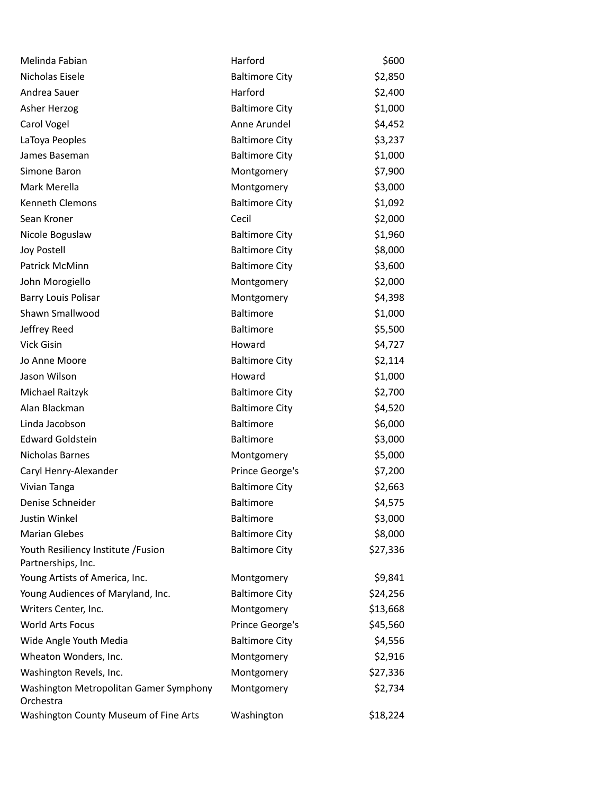| Melinda Fabian                                            | Harford               | \$600    |
|-----------------------------------------------------------|-----------------------|----------|
| Nicholas Eisele                                           | <b>Baltimore City</b> | \$2,850  |
| Andrea Sauer                                              | Harford               | \$2,400  |
| Asher Herzog                                              | <b>Baltimore City</b> | \$1,000  |
| Carol Vogel                                               | Anne Arundel          | \$4,452  |
| LaToya Peoples                                            | <b>Baltimore City</b> | \$3,237  |
| James Baseman                                             | <b>Baltimore City</b> | \$1,000  |
| Simone Baron                                              | Montgomery            | \$7,900  |
| Mark Merella                                              | Montgomery            | \$3,000  |
| Kenneth Clemons                                           | <b>Baltimore City</b> | \$1,092  |
| Sean Kroner                                               | Cecil                 | \$2,000  |
| Nicole Boguslaw                                           | <b>Baltimore City</b> | \$1,960  |
| Joy Postell                                               | <b>Baltimore City</b> | \$8,000  |
| Patrick McMinn                                            | <b>Baltimore City</b> | \$3,600  |
| John Morogiello                                           | Montgomery            | \$2,000  |
| <b>Barry Louis Polisar</b>                                | Montgomery            | \$4,398  |
| Shawn Smallwood                                           | <b>Baltimore</b>      | \$1,000  |
| Jeffrey Reed                                              | <b>Baltimore</b>      | \$5,500  |
| Vick Gisin                                                | Howard                | \$4,727  |
| Jo Anne Moore                                             | <b>Baltimore City</b> | \$2,114  |
| Jason Wilson                                              | Howard                | \$1,000  |
| Michael Raitzyk                                           | <b>Baltimore City</b> | \$2,700  |
| Alan Blackman                                             | <b>Baltimore City</b> | \$4,520  |
| Linda Jacobson                                            | Baltimore             | \$6,000  |
| <b>Edward Goldstein</b>                                   | <b>Baltimore</b>      | \$3,000  |
| Nicholas Barnes                                           | Montgomery            | \$5,000  |
| Caryl Henry-Alexander                                     | Prince George's       | \$7,200  |
| Vivian Tanga                                              | <b>Baltimore City</b> | \$2,663  |
| Denise Schneider                                          | <b>Baltimore</b>      | \$4,575  |
| Justin Winkel                                             | <b>Baltimore</b>      | \$3,000  |
| <b>Marian Glebes</b>                                      | <b>Baltimore City</b> | \$8,000  |
| Youth Resiliency Institute / Fusion<br>Partnerships, Inc. | <b>Baltimore City</b> | \$27,336 |
| Young Artists of America, Inc.                            | Montgomery            | \$9,841  |
| Young Audiences of Maryland, Inc.                         | <b>Baltimore City</b> | \$24,256 |
| Writers Center, Inc.                                      | Montgomery            | \$13,668 |
| <b>World Arts Focus</b>                                   | Prince George's       | \$45,560 |
| Wide Angle Youth Media                                    | <b>Baltimore City</b> | \$4,556  |
| Wheaton Wonders, Inc.                                     | Montgomery            | \$2,916  |
| Washington Revels, Inc.                                   | Montgomery            | \$27,336 |
| Washington Metropolitan Gamer Symphony<br>Orchestra       | Montgomery            | \$2,734  |
| Washington County Museum of Fine Arts                     | Washington            | \$18,224 |